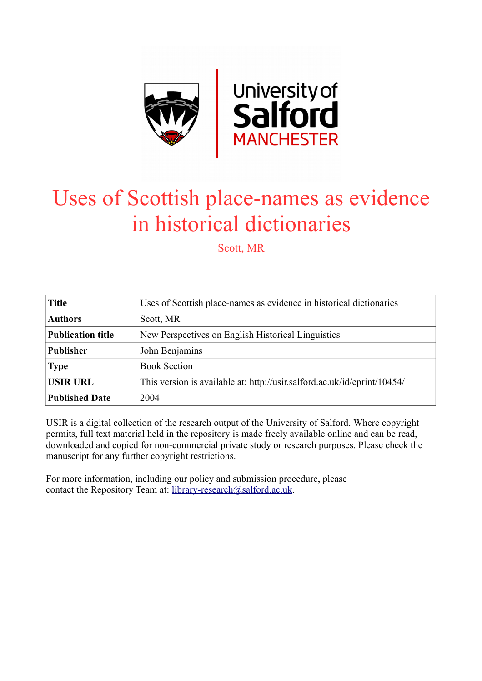

# Uses of Scottish place-names as evidence in historical dictionaries

Scott, MR

| <b>Title</b>             | Uses of Scottish place-names as evidence in historical dictionaries      |
|--------------------------|--------------------------------------------------------------------------|
| <b>Authors</b>           | Scott, MR                                                                |
| <b>Publication title</b> | New Perspectives on English Historical Linguistics                       |
| <b>Publisher</b>         | John Benjamins                                                           |
| <b>Type</b>              | <b>Book Section</b>                                                      |
| <b>USIR URL</b>          | This version is available at: http://usir.salford.ac.uk/id/eprint/10454/ |
| <b>Published Date</b>    | 2004                                                                     |

USIR is a digital collection of the research output of the University of Salford. Where copyright permits, full text material held in the repository is made freely available online and can be read, downloaded and copied for non-commercial private study or research purposes. Please check the manuscript for any further copyright restrictions.

For more information, including our policy and submission procedure, please contact the Repository Team at: [library-research@salford.ac.uk.](mailto:library-research@salford.ac.uk)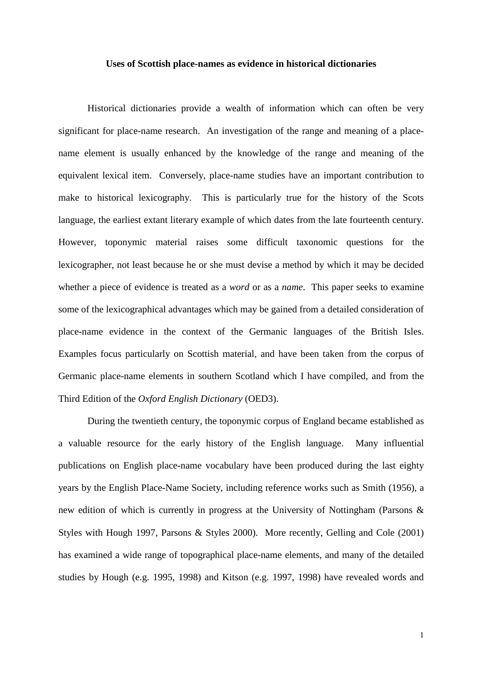#### **Uses of Scottish place-names as evidence in historical dictionaries**

Historical dictionaries provide a wealth of information which can often be very significant for place-name research. An investigation of the range and meaning of a placename element is usually enhanced by the knowledge of the range and meaning of the equivalent lexical item. Conversely, place-name studies have an important contribution to make to historical lexicography. This is particularly true for the history of the Scots language, the earliest extant literary example of which dates from the late fourteenth century. However, toponymic material raises some difficult taxonomic questions for the lexicographer, not least because he or she must devise a method by which it may be decided whether a piece of evidence is treated as a *word* or as a *name*. This paper seeks to examine some of the lexicographical advantages which may be gained from a detailed consideration of place-name evidence in the context of the Germanic languages of the British Isles. Examples focus particularly on Scottish material, and have been taken from the corpus of Germanic place-name elements in southern Scotland which I have compiled, and from the Third Edition of the *Oxford English Dictionary* (OED3).

During the twentieth century, the toponymic corpus of England became established as a valuable resource for the early history of the English language. Many influential publications on English place-name vocabulary have been produced during the last eighty years by the English Place-Name Society, including reference works such as Smith (1956), a new edition of which is currently in progress at the University of Nottingham (Parsons & Styles with Hough 1997, Parsons & Styles 2000). More recently, Gelling and Cole (2001) has examined a wide range of topographical place-name elements, and many of the detailed studies by Hough (e.g. 1995, 1998) and Kitson (e.g. 1997, 1998) have revealed words and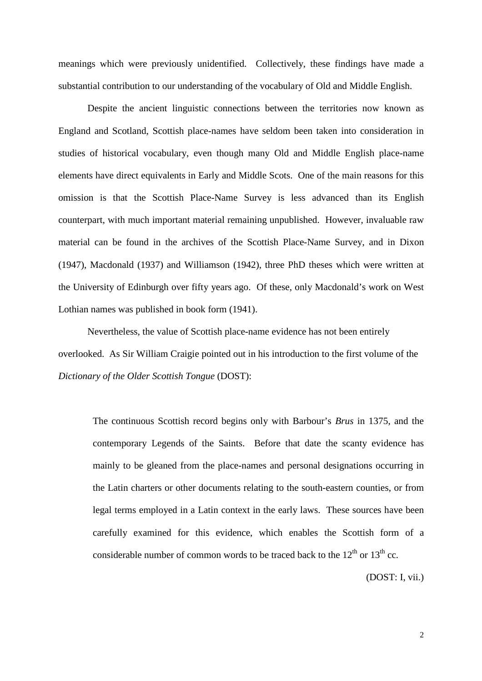meanings which were previously unidentified. Collectively, these findings have made a substantial contribution to our understanding of the vocabulary of Old and Middle English.

Despite the ancient linguistic connections between the territories now known as England and Scotland, Scottish place-names have seldom been taken into consideration in studies of historical vocabulary, even though many Old and Middle English place-name elements have direct equivalents in Early and Middle Scots. One of the main reasons for this omission is that the Scottish Place-Name Survey is less advanced than its English counterpart, with much important material remaining unpublished. However, invaluable raw material can be found in the archives of the Scottish Place-Name Survey, and in Dixon (1947), Macdonald (1937) and Williamson (1942), three PhD theses which were written at the University of Edinburgh over fifty years ago. Of these, only Macdonald's work on West Lothian names was published in book form (1941).

Nevertheless, the value of Scottish place-name evidence has not been entirely overlooked. As Sir William Craigie pointed out in his introduction to the first volume of the *Dictionary of the Older Scottish Tongue* (DOST):

The continuous Scottish record begins only with Barbour's *Brus* in 1375, and the contemporary Legends of the Saints. Before that date the scanty evidence has mainly to be gleaned from the place-names and personal designations occurring in the Latin charters or other documents relating to the south-eastern counties, or from legal terms employed in a Latin context in the early laws. These sources have been carefully examined for this evidence, which enables the Scottish form of a considerable number of common words to be traced back to the  $12<sup>th</sup>$  or  $13<sup>th</sup>$  cc.

(DOST: I, vii.)

2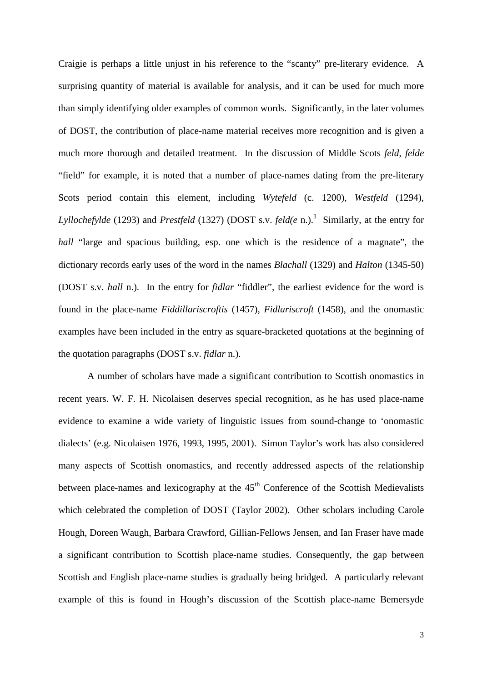Craigie is perhaps a little unjust in his reference to the "scanty" pre-literary evidence. A surprising quantity of material is available for analysis, and it can be used for much more than simply identifying older examples of common words. Significantly, in the later volumes of DOST, the contribution of place-name material receives more recognition and is given a much more thorough and detailed treatment. In the discussion of Middle Scots *feld*, *felde* "field" for example, it is noted that a number of place-names dating from the pre-literary Scots period contain this element, including *Wytefeld* (c. 1200), *Westfeld* (1294), Lyllochefylde (1293) and *Prestfeld* (1327) (DOST s.v. *feld(e* n.).<sup>1</sup> Similarly, at the entry for *hall* "large and spacious building, esp. one which is the residence of a magnate", the dictionary records early uses of the word in the names *Blachall* (1329) and *Halton* (1345-50) (DOST s.v. *hall* n.). In the entry for *fidlar* "fiddler", the earliest evidence for the word is found in the place-name *Fiddillariscroftis* (1457), *Fidlariscroft* (1458), and the onomastic examples have been included in the entry as square-bracketed quotations at the beginning of the quotation paragraphs (DOST s.v. *fidlar* n.).

A number of scholars have made a significant contribution to Scottish onomastics in recent years. W. F. H. Nicolaisen deserves special recognition, as he has used place-name evidence to examine a wide variety of linguistic issues from sound-change to 'onomastic dialects' (e.g. Nicolaisen 1976, 1993, 1995, 2001). Simon Taylor's work has also considered many aspects of Scottish onomastics, and recently addressed aspects of the relationship between place-names and lexicography at the  $45<sup>th</sup>$  Conference of the Scottish Medievalists which celebrated the completion of DOST (Taylor 2002). Other scholars including Carole Hough, Doreen Waugh, Barbara Crawford, Gillian-Fellows Jensen, and Ian Fraser have made a significant contribution to Scottish place-name studies. Consequently, the gap between Scottish and English place-name studies is gradually being bridged. A particularly relevant example of this is found in Hough's discussion of the Scottish place-name Bemersyde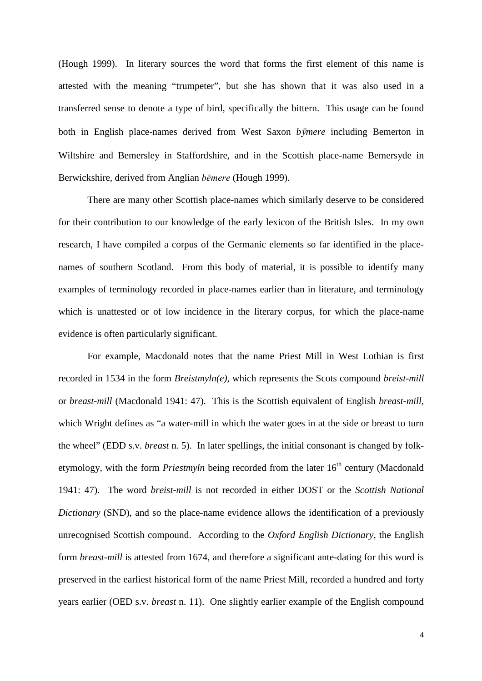(Hough 1999). In literary sources the word that forms the first element of this name is attested with the meaning "trumpeter", but she has shown that it was also used in a transferred sense to denote a type of bird, specifically the bittern. This usage can be found both in English place-names derived from West Saxon *bmere* including Bemerton in Wiltshire and Bemersley in Staffordshire, and in the Scottish place-name Bemersyde in Berwickshire, derived from Anglian *bēmere* (Hough 1999).

There are many other Scottish place-names which similarly deserve to be considered for their contribution to our knowledge of the early lexicon of the British Isles. In my own research, I have compiled a corpus of the Germanic elements so far identified in the placenames of southern Scotland. From this body of material, it is possible to identify many examples of terminology recorded in place-names earlier than in literature, and terminology which is unattested or of low incidence in the literary corpus, for which the place-name evidence is often particularly significant.

For example, Macdonald notes that the name Priest Mill in West Lothian is first recorded in 1534 in the form *Breistmyln(e)*, which represents the Scots compound *breist-mill* or *breast-mill* (Macdonald 1941: 47). This is the Scottish equivalent of English *breast-mill*, which Wright defines as "a water-mill in which the water goes in at the side or breast to turn the wheel" (EDD s.v. *breast* n. 5). In later spellings, the initial consonant is changed by folketymology, with the form *Priestmyln* being recorded from the later 16<sup>th</sup> century (Macdonald 1941: 47). The word *breist-mill* is not recorded in either DOST or the *Scottish National Dictionary* (SND), and so the place-name evidence allows the identification of a previously unrecognised Scottish compound. According to the *Oxford English Dictionary*, the English form *breast-mill* is attested from 1674, and therefore a significant ante-dating for this word is preserved in the earliest historical form of the name Priest Mill, recorded a hundred and forty years earlier (OED s.v. *breast* n. 11). One slightly earlier example of the English compound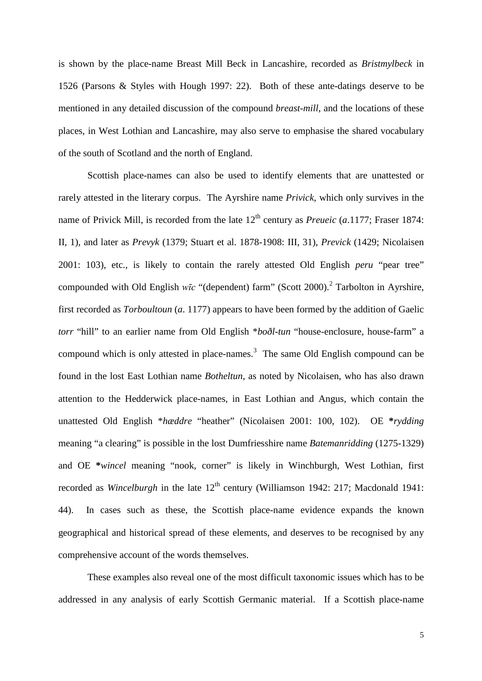is shown by the place-name Breast Mill Beck in Lancashire, recorded as *Bristmylbeck* in 1526 (Parsons & Styles with Hough 1997: 22). Both of these ante-datings deserve to be mentioned in any detailed discussion of the compound *breast-mill*, and the locations of these places, in West Lothian and Lancashire, may also serve to emphasise the shared vocabulary of the south of Scotland and the north of England.

Scottish place-names can also be used to identify elements that are unattested or rarely attested in the literary corpus. The Ayrshire name *Privick*, which only survives in the name of Privick Mill, is recorded from the late  $12<sup>th</sup>$  century as *Preueic* (*a.*1177; Fraser 1874: II, 1), and later as *Prevyk* (1379; Stuart et al. 1878-1908: III, 31), *Previck* (1429; Nicolaisen 2001: 103), etc., is likely to contain the rarely attested Old English *peru* "pear tree" compounded with Old English *wīc* "(dependent) farm" (Scott 2000).<sup>2</sup> Tarbolton in Ayrshire, first recorded as *Torboultoun* (*a*. 1177) appears to have been formed by the addition of Gaelic *torr* "hill" to an earlier name from Old English \**boðl-tun* "house-enclosure, house-farm" a compound which is only attested in place-names.<sup>3</sup> The same Old English compound can be found in the lost East Lothian name *Botheltun*, as noted by Nicolaisen, who has also drawn attention to the Hedderwick place-names, in East Lothian and Angus, which contain the unattested Old English \**hæddre* "heather" (Nicolaisen 2001: 100, 102). OE **\****rydding* meaning "a clearing" is possible in the lost Dumfriesshire name *Batemanridding* (1275-1329) and OE **\****wincel* meaning "nook, corner" is likely in Winchburgh, West Lothian, first recorded as *Wincelburgh* in the late 12<sup>th</sup> century (Williamson 1942: 217; Macdonald 1941: 44). In cases such as these, the Scottish place-name evidence expands the known geographical and historical spread of these elements, and deserves to be recognised by any comprehensive account of the words themselves.

These examples also reveal one of the most difficult taxonomic issues which has to be addressed in any analysis of early Scottish Germanic material. If a Scottish place-name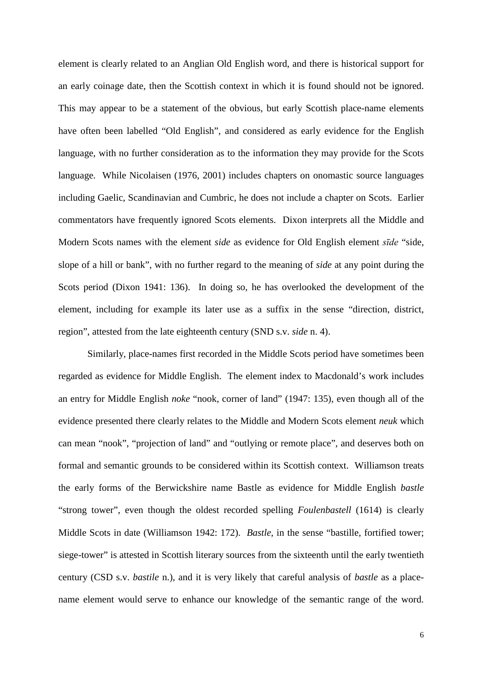element is clearly related to an Anglian Old English word, and there is historical support for an early coinage date, then the Scottish context in which it is found should not be ignored. This may appear to be a statement of the obvious, but early Scottish place-name elements have often been labelled "Old English", and considered as early evidence for the English language, with no further consideration as to the information they may provide for the Scots language. While Nicolaisen (1976, 2001) includes chapters on onomastic source languages including Gaelic, Scandinavian and Cumbric, he does not include a chapter on Scots. Earlier commentators have frequently ignored Scots elements. Dixon interprets all the Middle and Modern Scots names with the element *side* as evidence for Old English element *sīde* "side, slope of a hill or bank", with no further regard to the meaning of *side* at any point during the Scots period (Dixon 1941: 136). In doing so, he has overlooked the development of the element, including for example its later use as a suffix in the sense "direction, district, region", attested from the late eighteenth century (SND s.v. *side* n. 4).

Similarly, place-names first recorded in the Middle Scots period have sometimes been regarded as evidence for Middle English. The element index to Macdonald's work includes an entry for Middle English *noke* "nook, corner of land" (1947: 135), even though all of the evidence presented there clearly relates to the Middle and Modern Scots element *neuk* which can mean "nook", "projection of land" and "outlying or remote place", and deserves both on formal and semantic grounds to be considered within its Scottish context. Williamson treats the early forms of the Berwickshire name Bastle as evidence for Middle English *bastle* "strong tower", even though the oldest recorded spelling *Foulenbastell* (1614) is clearly Middle Scots in date (Williamson 1942: 172). *Bastle*, in the sense "bastille, fortified tower; siege-tower" is attested in Scottish literary sources from the sixteenth until the early twentieth century (CSD s.v. *bastile* n.), and it is very likely that careful analysis of *bastle* as a placename element would serve to enhance our knowledge of the semantic range of the word.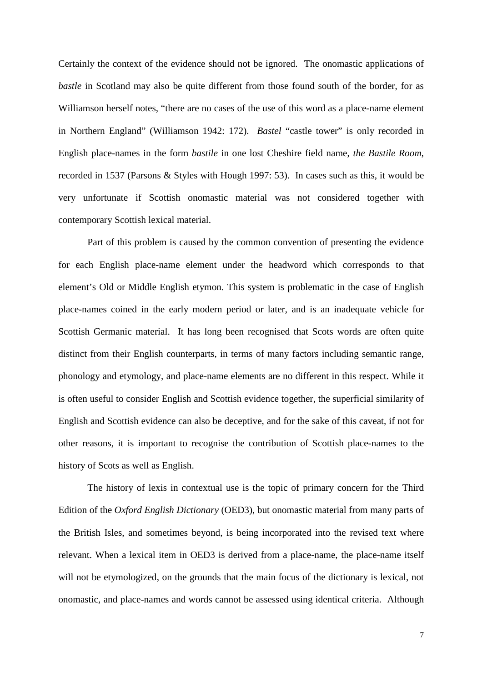Certainly the context of the evidence should not be ignored. The onomastic applications of *bastle* in Scotland may also be quite different from those found south of the border, for as Williamson herself notes, "there are no cases of the use of this word as a place-name element in Northern England" (Williamson 1942: 172). *Bastel* "castle tower" is only recorded in English place-names in the form *bastile* in one lost Cheshire field name, *the Bastile Room*, recorded in 1537 (Parsons & Styles with Hough 1997: 53). In cases such as this, it would be very unfortunate if Scottish onomastic material was not considered together with contemporary Scottish lexical material.

Part of this problem is caused by the common convention of presenting the evidence for each English place-name element under the headword which corresponds to that element's Old or Middle English etymon. This system is problematic in the case of English place-names coined in the early modern period or later, and is an inadequate vehicle for Scottish Germanic material. It has long been recognised that Scots words are often quite distinct from their English counterparts, in terms of many factors including semantic range, phonology and etymology, and place-name elements are no different in this respect. While it is often useful to consider English and Scottish evidence together, the superficial similarity of English and Scottish evidence can also be deceptive, and for the sake of this caveat, if not for other reasons, it is important to recognise the contribution of Scottish place-names to the history of Scots as well as English.

The history of lexis in contextual use is the topic of primary concern for the Third Edition of the *Oxford English Dictionary* (OED3), but onomastic material from many parts of the British Isles, and sometimes beyond, is being incorporated into the revised text where relevant. When a lexical item in OED3 is derived from a place-name, the place-name itself will not be etymologized, on the grounds that the main focus of the dictionary is lexical, not onomastic, and place-names and words cannot be assessed using identical criteria. Although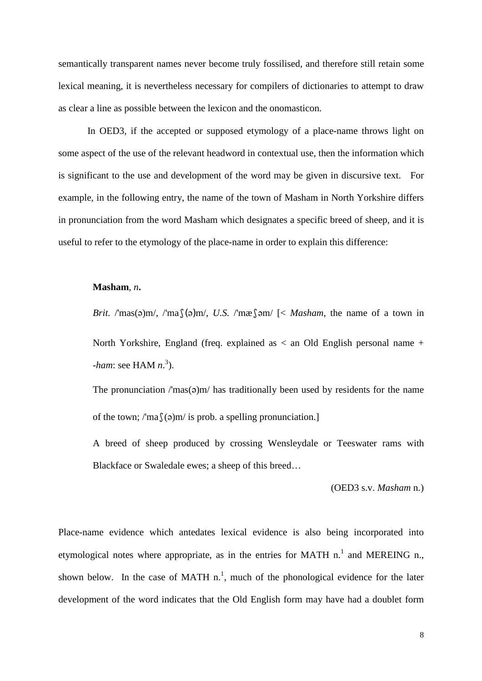semantically transparent names never become truly fossilised, and therefore still retain some lexical meaning, it is nevertheless necessary for compilers of dictionaries to attempt to draw as clear a line as possible between the lexicon and the onomasticon.

In OED3, if the accepted or supposed etymology of a place-name throws light on some aspect of the use of the relevant headword in contextual use, then the information which is significant to the use and development of the word may be given in discursive text. For example, in the following entry, the name of the town of Masham in North Yorkshire differs in pronunciation from the word Masham which designates a specific breed of sheep, and it is useful to refer to the etymology of the place-name in order to explain this difference:

### **Masham**, *n***.**

*Brit.* /'mas( $\varphi$ )m/, /'mas( $\varphi$ )m/, *U.S.* /'mæss  $\varphi$  /  $\lt$  *Masham*, the name of a town in

North Yorkshire, England (freq. explained as < an Old English personal name + -*ham*: see HAM *n*. 3 ).

The pronunciation  $\text{/}$  mas( $\text{o}$ )m $\text{/}$  has traditionally been used by residents for the name of the town; /'ma $\int$ (a)m/ is prob. a spelling pronunciation.]

A breed of sheep produced by crossing Wensleydale or Teeswater rams with Blackface or Swaledale ewes; a sheep of this breed…

(OED3 s.v. *Masham* n.)

Place-name evidence which antedates lexical evidence is also being incorporated into etymological notes where appropriate, as in the entries for MATH  $n<sup>1</sup>$  and MEREING  $n<sub>1</sub>$ , shown below. In the case of MATH  $n<sup>1</sup>$ , much of the phonological evidence for the later development of the word indicates that the Old English form may have had a doublet form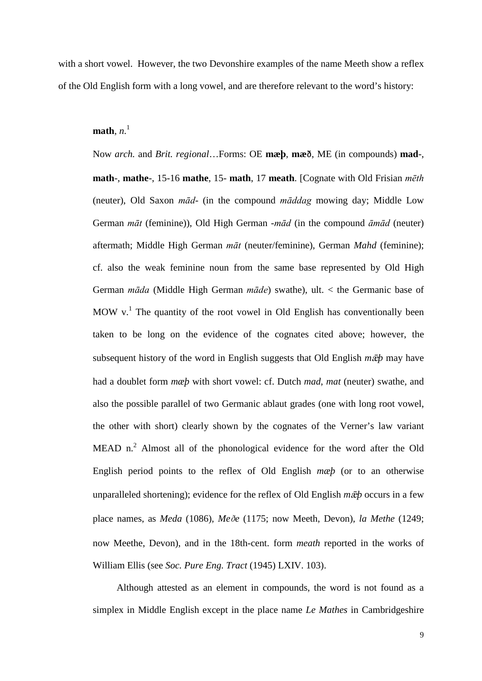with a short vowel. However, the two Devonshire examples of the name Meeth show a reflex of the Old English form with a long vowel, and are therefore relevant to the word's history:

 $$ 

Now *arch.* and *Brit. regional*…Forms: OE **mæþ**, **mæ**ð, ME (in compounds) **mad**-, **math**-, **mathe**-, 15-16 **mathe**, 15- **math**, 17 **meath**. [Cognate with Old Frisian *mēth* (neuter), Old Saxon *mād*- (in the compound *māddag* mowing day; Middle Low German *māt* (feminine)), Old High German -*mād* (in the compound *āmād* (neuter) aftermath; Middle High German *māt* (neuter/feminine), German *Mahd* (feminine); cf. also the weak feminine noun from the same base represented by Old High German *māda* (Middle High German *māde*) swathe), ult. < the Germanic base of MOW  $v<sup>1</sup>$ . The quantity of the root vowel in Old English has conventionally been taken to be long on the evidence of the cognates cited above; however, the subsequent history of the word in English suggests that Old English  $m\bar{p}$  may have had a doublet form *mæþ* with short vowel: cf. Dutch *mad*, *mat* (neuter) swathe, and also the possible parallel of two Germanic ablaut grades (one with long root vowel, the other with short) clearly shown by the cognates of the Verner's law variant MEAD  $n^2$ . Almost all of the phonological evidence for the word after the Old English period points to the reflex of Old English *mæþ* (or to an otherwise unparalleled shortening); evidence for the reflex of Old English  $m\bar{p}$  occurs in a few place names, as *Meda* (1086), *Me*ð*e* (1175; now Meeth, Devon), *la Methe* (1249; now Meethe, Devon), and in the 18th-cent. form *meath* reported in the works of William Ellis (see *Soc. Pure Eng. Tract* (1945) LXIV. 103).

Although attested as an element in compounds, the word is not found as a simplex in Middle English except in the place name *Le Mathes* in Cambridgeshire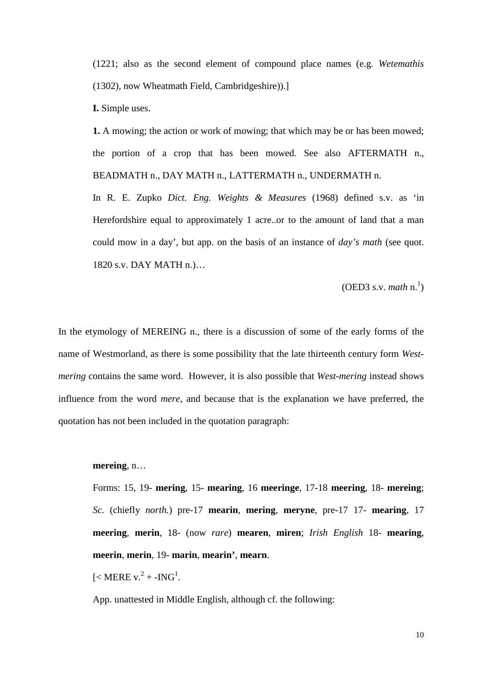(1221; also as the second element of compound place names (e.g. *Wetemathis* (1302), now Wheatmath Field, Cambridgeshire)).]

**I.** Simple uses.

**1.** A mowing; the action or work of mowing; that which may be or has been mowed; the portion of a crop that has been mowed. See also AFTERMATH n., BEADMATH n., DAY MATH n., LATTERMATH n., UNDERMATH n.

In R. E. Zupko *Dict. Eng. Weights & Measures* (1968) defined s.v. as 'in Herefordshire equal to approximately 1 acre..or to the amount of land that a man could mow in a day', but app. on the basis of an instance of *day's math* (see quot. 1820 s.v. DAY MATH n.)…

(OED3 s.v. *math* n. 1 )

In the etymology of MEREING n., there is a discussion of some of the early forms of the name of Westmorland, as there is some possibility that the late thirteenth century form *Westmering* contains the same word. However, it is also possible that *West-mering* instead shows influence from the word *mere*, and because that is the explanation we have preferred, the quotation has not been included in the quotation paragraph:

## **mereing**, n…

Forms: 15, 19- **mering**, 15- **mearing**, 16 **meeringe**, 17-18 **meering**, 18- **mereing**; *Sc.* (chiefly *north.*) pre-17 **mearin**, **mering**, **meryne**, pre-17 17- **mearing**, 17 **meering**, **merin**, 18- (now *rare*) **mearen**, **miren**; *Irish English* 18- **mearing**, **meerin**, **merin**, 19- **marin**, **mearin'**, **mearn**.

[< MERE  $v^2$  + -ING<sup>1</sup>.

App. unattested in Middle English, although cf. the following: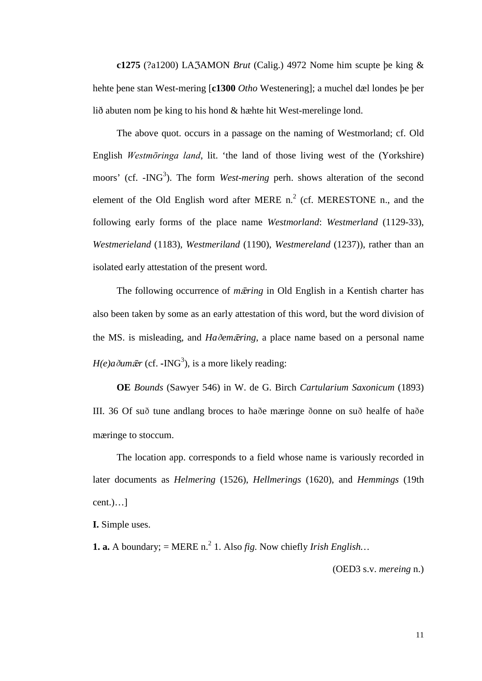**c1275** (?a1200) LA3AMON *Brut* (Calig.) 4972 Nome him scupte þe king  $\&$ hehte þene stan West-mering [**c1300** *Otho* Westenering]; a muchel dæl londes þe þer lið abuten nom þe king to his hond & hæhte hit West-merelinge lond.

The above quot. occurs in a passage on the naming of Westmorland; cf. Old English *Westmōringa land*, lit. 'the land of those living west of the (Yorkshire) moors' (cf. -ING<sup>3</sup>). The form *West-mering* perh. shows alteration of the second element of the Old English word after MERE  $n^2$  (cf. MERESTONE n., and the following early forms of the place name *Westmorland*: *Westmerland* (1129-33), *Westmerieland* (1183), *Westmeriland* (1190), *Westmereland* (1237)), rather than an isolated early attestation of the present word.

The following occurrence of *m* $\bar{z}$ *ering* in Old English in a Kentish charter has also been taken by some as an early attestation of this word, but the word division of the MS. is misleading, and *Ha*ð*emring*, a place name based on a personal name  $H(e)a\delta u m \bar{e}r$  (cf. **-**ING<sup>3</sup>), is a more likely reading:

**OE** *Bounds* (Sawyer 546) in W. de G. Birch *Cartularium Saxonicum* (1893) III. 36 Of suð tune andlang broces to haðe mæringe ðonne on suð healfe of haðe mæringe to stoccum.

The location app. corresponds to a field whose name is variously recorded in later documents as *Helmering* (1526), *Hellmerings* (1620), and *Hemmings* (19th  $cent.)....]$ 

**I.** Simple uses.

**1. a.** A boundary;  $=$  MERE n.<sup>2</sup> 1. Also *fig.* Now chiefly *Irish English...* 

(OED3 s.v. *mereing* n.)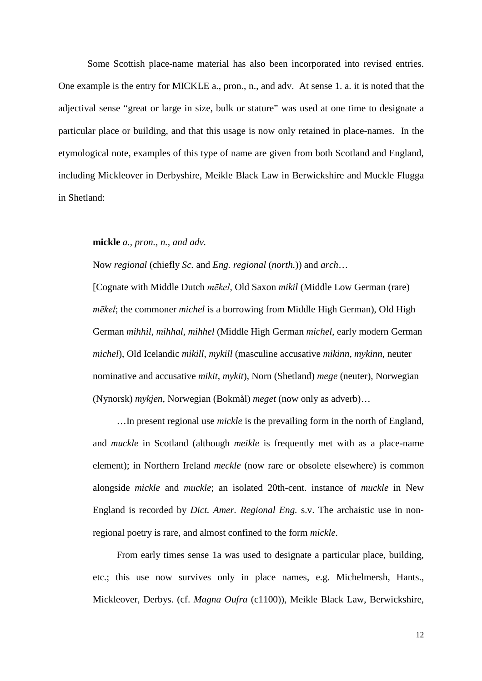Some Scottish place-name material has also been incorporated into revised entries. One example is the entry for MICKLE a., pron., n., and adv. At sense 1. a. it is noted that the adjectival sense "great or large in size, bulk or stature" was used at one time to designate a particular place or building, and that this usage is now only retained in place-names. In the etymological note, examples of this type of name are given from both Scotland and England, including Mickleover in Derbyshire, Meikle Black Law in Berwickshire and Muckle Flugga in Shetland:

**mickle** *a., pron., n., and adv.*

Now *regional* (chiefly *Sc.* and *Eng. regional* (*north.*)) and *arch*…

[Cognate with Middle Dutch *mēkel*, Old Saxon *mikil* (Middle Low German (rare) *mēkel*; the commoner *michel* is a borrowing from Middle High German), Old High German *mihhil*, *mihhal*, *mihhel* (Middle High German *michel*, early modern German *michel*), Old Icelandic *mikill*, *mykill* (masculine accusative *mikinn*, *mykinn*, neuter nominative and accusative *mikit*, *mykit*), Norn (Shetland) *mege* (neuter), Norwegian (Nynorsk) *mykjen*, Norwegian (Bokmål) *meget* (now only as adverb)…

…In present regional use *mickle* is the prevailing form in the north of England, and *muckle* in Scotland (although *meikle* is frequently met with as a place-name element); in Northern Ireland *meckle* (now rare or obsolete elsewhere) is common alongside *mickle* and *muckle*; an isolated 20th-cent. instance of *muckle* in New England is recorded by *Dict. Amer. Regional Eng.* s.v. The archaistic use in nonregional poetry is rare, and almost confined to the form *mickle*.

From early times sense 1a was used to designate a particular place, building, etc.; this use now survives only in place names, e.g. Michelmersh, Hants., Mickleover, Derbys. (cf. *Magna Oufra* (c1100)), Meikle Black Law, Berwickshire,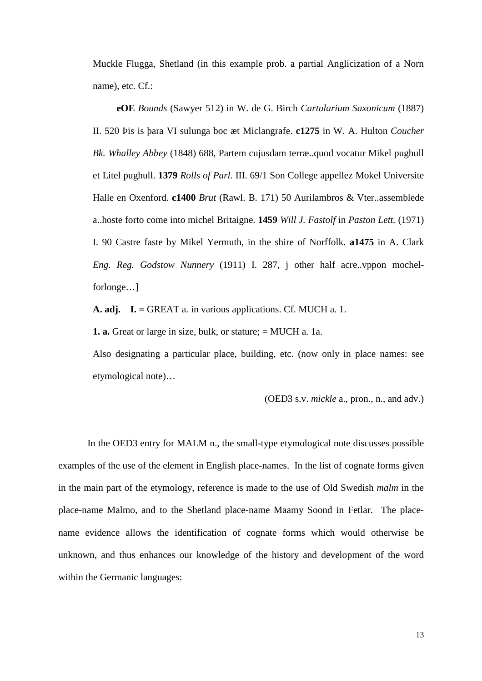Muckle Flugga, Shetland (in this example prob. a partial Anglicization of a Norn name), etc. Cf.:

**eOE** *Bounds* (Sawyer 512) in W. de G. Birch *Cartularium Saxonicum* (1887) II. 520 Þis is þara VI sulunga boc æt Miclangrafe. **c1275** in W. A. Hulton *Coucher Bk. Whalley Abbey* (1848) 688, Partem cujusdam terræ..quod vocatur Mikel pughull et Litel pughull. **1379** *Rolls of Parl.* III. 69/1 Son College appellez Mokel Universite Halle en Oxenford. **c1400** *Brut* (Rawl. B. 171) 50 Aurilambros & Vter..assemblede a..hoste forto come into michel Britaigne. **1459** *Will J. Fastolf* in *Paston Lett.* (1971) I. 90 Castre faste by Mikel Yermuth, in the shire of Norffolk. **a1475** in A. Clark *Eng. Reg. Godstow Nunnery* (1911) I. 287, j other half acre..vppon mochelforlonge…]

**A. adj. I. =** GREAT a. in various applications. Cf. MUCH a. 1.

**1. a.** Great or large in size, bulk, or stature; = MUCH a. 1a.

Also designating a particular place, building, etc. (now only in place names: see etymological note)…

(OED3 s.v. *mickle* a., pron., n., and adv.)

In the OED3 entry for MALM n., the small-type etymological note discusses possible examples of the use of the element in English place-names. In the list of cognate forms given in the main part of the etymology, reference is made to the use of Old Swedish *malm* in the place-name Malmo, and to the Shetland place-name Maamy Soond in Fetlar. The placename evidence allows the identification of cognate forms which would otherwise be unknown, and thus enhances our knowledge of the history and development of the word within the Germanic languages: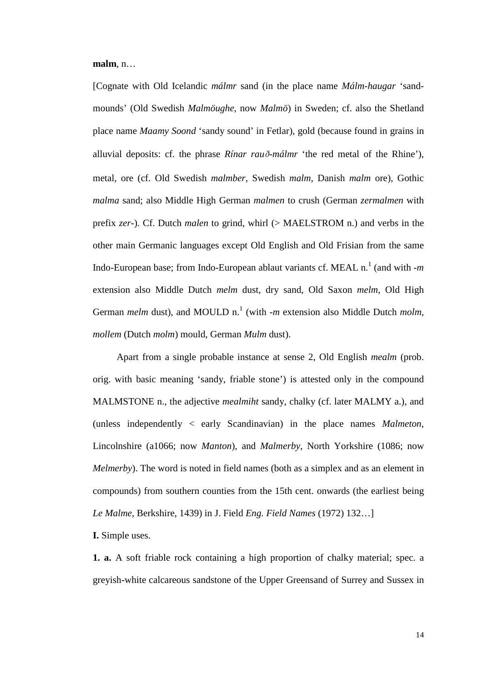**malm**, n…

[Cognate with Old Icelandic *málmr* sand (in the place name *Málm-haugar* 'sandmounds' (Old Swedish *Malmöughe*, now *Malmö*) in Sweden; cf. also the Shetland place name *Maamy Soond* 'sandy sound' in Fetlar), gold (because found in grains in alluvial deposits: cf. the phrase *Rínar rau*ð*-málmr* 'the red metal of the Rhine'), metal, ore (cf. Old Swedish *malmber*, Swedish *malm*, Danish *malm* ore), Gothic *malma* sand; also Middle High German *malmen* to crush (German *zermalmen* with prefix *zer*-). Cf. Dutch *malen* to grind, whirl (> MAELSTROM n.) and verbs in the other main Germanic languages except Old English and Old Frisian from the same Indo-European base; from Indo-European ablaut variants cf. MEAL n.<sup>1</sup> (and with -*m* extension also Middle Dutch *melm* dust, dry sand, Old Saxon *melm*, Old High German *melm* dust), and MOULD n.<sup>1</sup> (with -*m* extension also Middle Dutch *molm*, *mollem* (Dutch *molm*) mould, German *Mulm* dust).

Apart from a single probable instance at sense 2, Old English *mealm* (prob. orig. with basic meaning 'sandy, friable stone') is attested only in the compound MALMSTONE n., the adjective *mealmiht* sandy, chalky (cf. later MALMY a.), and (unless independently < early Scandinavian) in the place names *Malmeton*, Lincolnshire (a1066; now *Manton*), and *Malmerby*, North Yorkshire (1086; now *Melmerby*). The word is noted in field names (both as a simplex and as an element in compounds) from southern counties from the 15th cent. onwards (the earliest being *Le Malme*, Berkshire, 1439) in J. Field *Eng. Field Names* (1972) 132…]

**I.** Simple uses.

**1. a.** A soft friable rock containing a high proportion of chalky material; spec. a greyish-white calcareous sandstone of the Upper Greensand of Surrey and Sussex in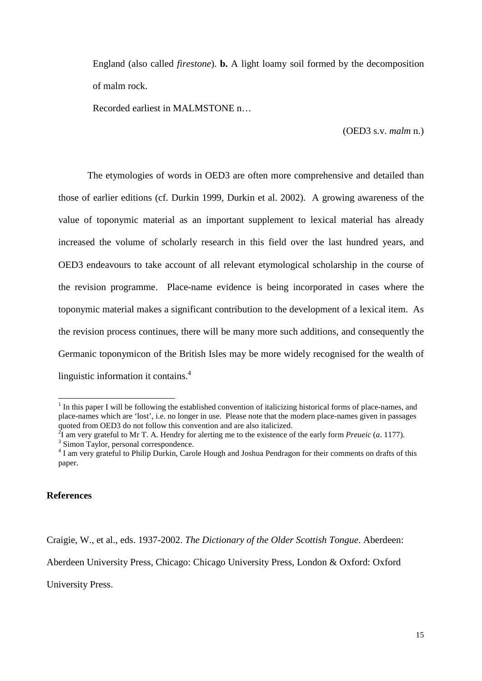England (also called *firestone*). **b.** A light loamy soil formed by the decomposition of malm rock.

Recorded earliest in MALMSTONE n…

(OED3 s.v. *malm* n.)

The etymologies of words in OED3 are often more comprehensive and detailed than those of earlier editions (cf. Durkin 1999, Durkin et al. 2002). A growing awareness of the value of toponymic material as an important supplement to lexical material has already increased the volume of scholarly research in this field over the last hundred years, and OED3 endeavours to take account of all relevant etymological scholarship in the course of the revision programme. Place-name evidence is being incorporated in cases where the toponymic material makes a significant contribution to the development of a lexical item. As the revision process continues, there will be many more such additions, and consequently the Germanic toponymicon of the British Isles may be more widely recognised for the wealth of linguistic information it contains.<sup>4</sup>

### **References**

Craigie, W., et al., eds. 1937-2002. *The Dictionary of the Older Scottish Tongue*. Aberdeen:

Aberdeen University Press, Chicago: Chicago University Press, London & Oxford: Oxford

University Press.

<sup>&</sup>lt;sup>1</sup> In this paper I will be following the established convention of italicizing historical forms of place-names, and place-names which are 'lost', i.e. no longer in use. Please note that the modern place-names given in passages quoted from OED3 do not follow this convention and are also italicized.

<sup>2</sup> I am very grateful to Mr T. A. Hendry for alerting me to the existence of the early form *Preueic* (*a*. 1177). <sup>3</sup> Simon Taylor, personal correspondence.

<sup>&</sup>lt;sup>4</sup> I am very grateful to Philip Durkin, Carole Hough and Joshua Pendragon for their comments on drafts of this paper.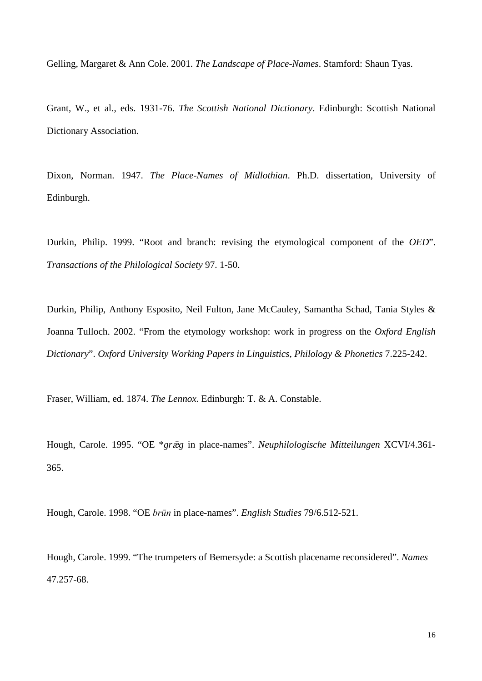Gelling, Margaret & Ann Cole. 2001. *The Landscape of Place-Names*. Stamford: Shaun Tyas.

Grant, W., et al., eds. 1931-76. *The Scottish National Dictionary*. Edinburgh: Scottish National Dictionary Association.

Dixon, Norman. 1947. *The Place-Names of Midlothian*. Ph.D. dissertation, University of Edinburgh.

Durkin, Philip. 1999. "Root and branch: revising the etymological component of the *OED*". *Transactions of the Philological Society* 97. 1-50.

Durkin, Philip, Anthony Esposito, Neil Fulton, Jane McCauley, Samantha Schad, Tania Styles & Joanna Tulloch. 2002. "From the etymology workshop: work in progress on the *Oxford English Dictionary*". *Oxford University Working Papers in Linguistics, Philology & Phonetics* 7.225-242.

Fraser, William, ed. 1874. *The Lennox*. Edinburgh: T. & A. Constable.

Hough, Carole. 1995. "OE \**grg* in place-names". *Neuphilologische Mitteilungen* XCVI/4.361- 365.

Hough, Carole. 1998. "OE *brūn* in place-names". *English Studies* 79/6.512-521.

Hough, Carole. 1999. "The trumpeters of Bemersyde: a Scottish placename reconsidered". *Names* 47.257-68.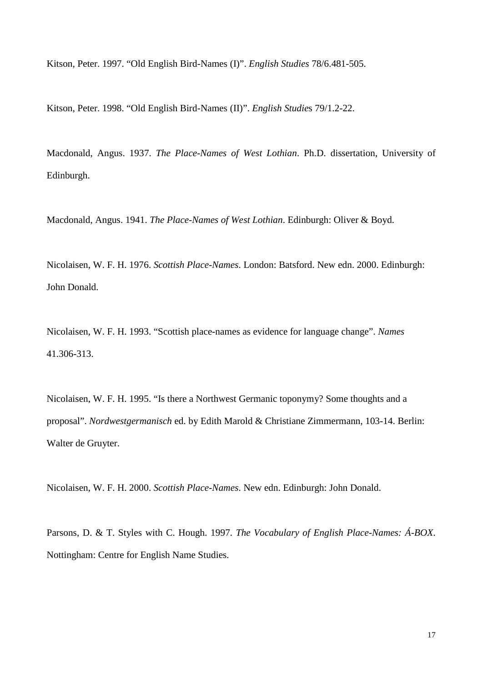Kitson, Peter. 1997. "Old English Bird-Names (I)". *English Studies* 78/6.481-505.

Kitson, Peter. 1998. "Old English Bird-Names (II)". *English Studie*s 79/1.2-22.

Macdonald, Angus. 1937. *The Place-Names of West Lothian*. Ph.D. dissertation, University of Edinburgh.

Macdonald, Angus. 1941. *The Place-Names of West Lothian*. Edinburgh: Oliver & Boyd.

Nicolaisen, W. F. H. 1976. *Scottish Place-Names*. London: Batsford. New edn. 2000. Edinburgh: John Donald.

Nicolaisen, W. F. H. 1993. "Scottish place-names as evidence for language change". *Names* 41.306-313.

Nicolaisen, W. F. H. 1995. "Is there a Northwest Germanic toponymy? Some thoughts and a proposal". *Nordwestgermanisch* ed. by Edith Marold & Christiane Zimmermann, 103-14. Berlin: Walter de Gruyter.

Nicolaisen, W. F. H. 2000. *Scottish Place-Names*. New edn. Edinburgh: John Donald.

Parsons, D. & T. Styles with C. Hough. 1997. *The Vocabulary of English Place-Names: Á-BOX*. Nottingham: Centre for English Name Studies.